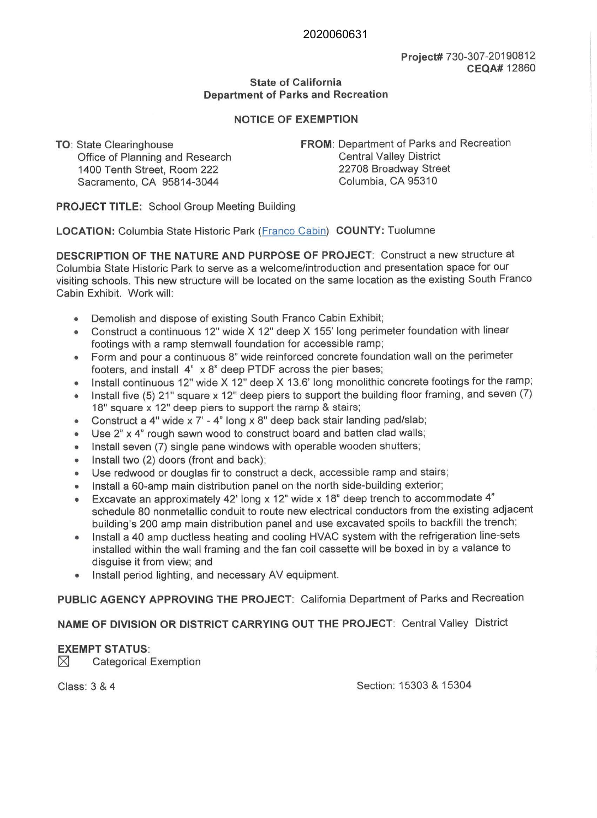## 2020060631

## **Project#** 730-307-20190812 **CEQA#** 12860

## **State of California Department of Parks and Recreation**

# **NOTICE OF EXEMPTION**

**TO:** State Clearinghouse Office of Planning and Research 1400 Tenth Street, Room 222 Sacramento, CA 95814-3044

**FROM: Department of Parks and Recreation** Central Valley District 22708 Broadway Street Columbia, CA 95310

**PROJECT TITLE:** School Group Meeting Building

**LOCATION:** Columbia State Historic Park (Franco Cabin) **COUNTY:** Tuolumne

**DESCRIPTION OF THE NATURE AND PURPOSE OF PROJECT:** Construct a new structure at Columbia State Historic Park to serve as a welcome/introduction and presentation space for our visiting schools. This new structure will be located on the same location as the existing South Franco Cabin Exhibit. Work will:

- Demolish and dispose of existing South Franco Cabin Exhibit;
- Construct a continuous 12" wide X 12" deep X 155' long perimeter foundation with linear footings with a ramp stemwall foundation for accessible ramp;
- Form and pour a continuous 8" wide reinforced concrete foundation wall on the perimeter footers, and install 4" x 8" deep PTDF across the pier bases;
- Install continuous 12" wide X 12" deep X 13.6' long monolithic concrete footings for the ramp;
- Install five (5) 21" square  $x$  12" deep piers to support the building floor framing, and seven (7) 18" square x 12" deep piers to support the ramp & stairs;
- Construct a 4" wide x 7' 4" long x 8" deep back stair landing pad/slab;
- Use 2" x 4" rough sawn wood to construct board and batten clad walls;
- Install seven (7) single pane windows with operable wooden shutters;
- Install two (2) doors (front and back);
- Use redwood or douglas fir to construct a deck, accessible ramp and stairs;
- Install a 60-amp main distribution panel on the north side-building exterior;
- Excavate an approximately 42' long  $\times$  12" wide  $\times$  18" deep trench to accommodate 4" schedule 80 nonmetallic conduit to route new electrical conductors from the existing adjacent building's 200 amp main distribution panel and use excavated spoils to backfill the trench;
- Install a 40 amp ductless heating and cooling HVAC system with the refrigeration line-sets installed within the wall framing and the fan coil cassette will be boxed in by a valance to disguise it from view; and
- Install period lighting, and necessary AV equipment.

**PUBLIC AGENCY APPROVING THE PROJECT:** California Department of Parks and Recreation

# **NAME OF DIVISION OR DISTRICT CARRYING OUT THE PROJECT:** Central Valley District

#### **EXEMPT STATUS:**

 $\boxtimes$  Categorical Exemption

Class: 3 & 4 Section: 15303 & 15304